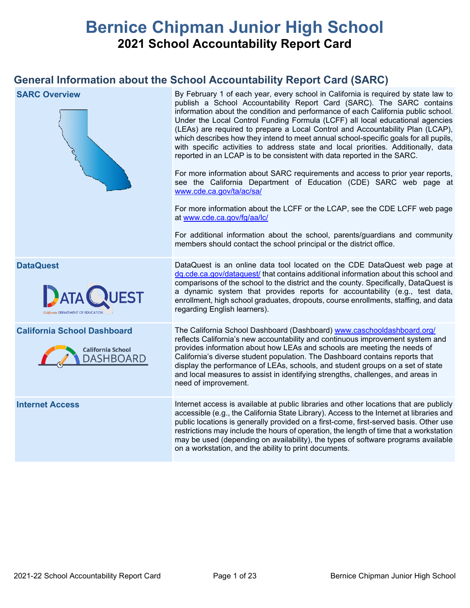# **Bernice Chipman Junior High School 2021 School Accountability Report Card**

## **General Information about the School Accountability Report Card (SARC)**

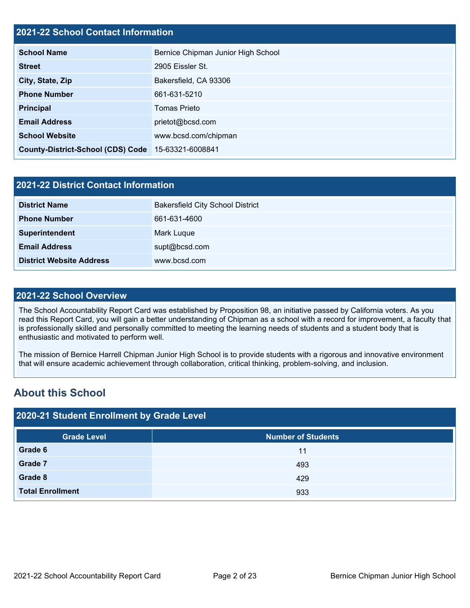## **2021-22 School Contact Information**

| <b>School Name</b>                       | Bernice Chipman Junior High School |  |  |  |
|------------------------------------------|------------------------------------|--|--|--|
| <b>Street</b>                            | 2905 Eissler St.                   |  |  |  |
| City, State, Zip                         | Bakersfield, CA 93306              |  |  |  |
| <b>Phone Number</b>                      | 661-631-5210                       |  |  |  |
| <b>Principal</b>                         | <b>Tomas Prieto</b>                |  |  |  |
| <b>Email Address</b>                     | prietot@bcsd.com                   |  |  |  |
| <b>School Website</b>                    | www.bcsd.com/chipman               |  |  |  |
| <b>County-District-School (CDS) Code</b> | 15-63321-6008841                   |  |  |  |

| 2021-22 District Contact Information |                                         |  |  |  |  |
|--------------------------------------|-----------------------------------------|--|--|--|--|
| <b>District Name</b>                 | <b>Bakersfield City School District</b> |  |  |  |  |
| <b>Phone Number</b>                  | 661-631-4600                            |  |  |  |  |
| Superintendent                       | Mark Luque                              |  |  |  |  |
| <b>Email Address</b>                 | supt@bcsd.com                           |  |  |  |  |
| <b>District Website Address</b>      | www.bcsd.com                            |  |  |  |  |

### **2021-22 School Overview**

The School Accountability Report Card was established by Proposition 98, an initiative passed by California voters. As you read this Report Card, you will gain a better understanding of Chipman as a school with a record for improvement, a faculty that is professionally skilled and personally committed to meeting the learning needs of students and a student body that is enthusiastic and motivated to perform well.

The mission of Bernice Harrell Chipman Junior High School is to provide students with a rigorous and innovative environment that will ensure academic achievement through collaboration, critical thinking, problem-solving, and inclusion.

## **About this School**

| 2020-21 Student Enrollment by Grade Level |                           |  |  |  |  |  |
|-------------------------------------------|---------------------------|--|--|--|--|--|
| <b>Grade Level</b>                        | <b>Number of Students</b> |  |  |  |  |  |
| Grade 6                                   | 11                        |  |  |  |  |  |
| Grade 7                                   | 493                       |  |  |  |  |  |
| Grade 8                                   | 429                       |  |  |  |  |  |
| <b>Total Enrollment</b>                   | 933                       |  |  |  |  |  |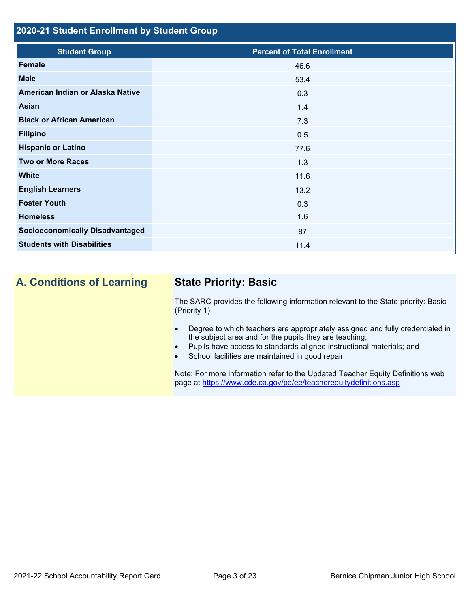## **2020-21 Student Enrollment by Student Group**

| <b>Student Group</b>                   | <b>Percent of Total Enrollment</b> |
|----------------------------------------|------------------------------------|
| <b>Female</b>                          | 46.6                               |
| <b>Male</b>                            | 53.4                               |
| American Indian or Alaska Native       | 0.3                                |
| Asian                                  | 1.4                                |
| <b>Black or African American</b>       | 7.3                                |
| <b>Filipino</b>                        | 0.5                                |
| <b>Hispanic or Latino</b>              | 77.6                               |
| <b>Two or More Races</b>               | 1.3                                |
| <b>White</b>                           | 11.6                               |
| <b>English Learners</b>                | 13.2                               |
| <b>Foster Youth</b>                    | 0.3                                |
| <b>Homeless</b>                        | 1.6                                |
| <b>Socioeconomically Disadvantaged</b> | 87                                 |
| <b>Students with Disabilities</b>      | 11.4                               |

## **A. Conditions of Learning State Priority: Basic**

The SARC provides the following information relevant to the State priority: Basic (Priority 1):

- Degree to which teachers are appropriately assigned and fully credentialed in the subject area and for the pupils they are teaching;
- Pupils have access to standards-aligned instructional materials; and
- School facilities are maintained in good repair

Note: For more information refer to the Updated Teacher Equity Definitions web page at<https://www.cde.ca.gov/pd/ee/teacherequitydefinitions.asp>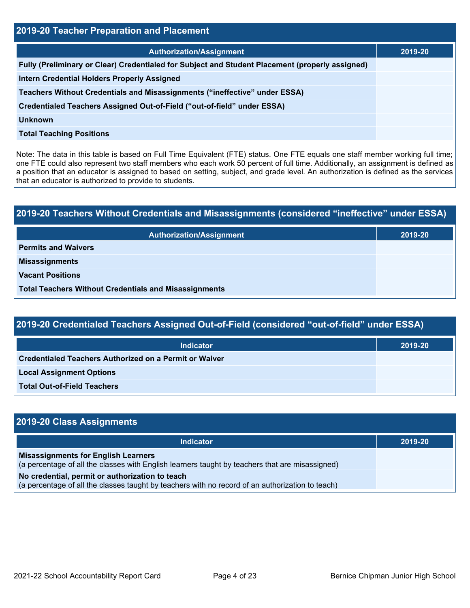| 2019-20 Teacher Preparation and Placement                                                       |         |  |  |  |  |
|-------------------------------------------------------------------------------------------------|---------|--|--|--|--|
| <b>Authorization/Assignment</b>                                                                 | 2019-20 |  |  |  |  |
| Fully (Preliminary or Clear) Credentialed for Subject and Student Placement (properly assigned) |         |  |  |  |  |
| <b>Intern Credential Holders Properly Assigned</b>                                              |         |  |  |  |  |
| Teachers Without Credentials and Misassignments ("ineffective" under ESSA)                      |         |  |  |  |  |
| Credentialed Teachers Assigned Out-of-Field ("out-of-field" under ESSA)                         |         |  |  |  |  |
| <b>Unknown</b>                                                                                  |         |  |  |  |  |
| <b>Total Teaching Positions</b>                                                                 |         |  |  |  |  |

Note: The data in this table is based on Full Time Equivalent (FTE) status. One FTE equals one staff member working full time; one FTE could also represent two staff members who each work 50 percent of full time. Additionally, an assignment is defined as a position that an educator is assigned to based on setting, subject, and grade level. An authorization is defined as the services that an educator is authorized to provide to students.

# **2019-20 Teachers Without Credentials and Misassignments (considered "ineffective" under ESSA) Authorization/Assignment 2019-20 Permits and Waivers Misassignments Vacant Positions Total Teachers Without Credentials and Misassignments**

| 2019-20 Credentialed Teachers Assigned Out-of-Field (considered "out-of-field" under ESSA) |         |  |  |  |  |
|--------------------------------------------------------------------------------------------|---------|--|--|--|--|
| <b>Indicator</b>                                                                           | 2019-20 |  |  |  |  |
| <b>Credentialed Teachers Authorized on a Permit or Waiver</b>                              |         |  |  |  |  |
| <b>Local Assignment Options</b>                                                            |         |  |  |  |  |
| <b>Total Out-of-Field Teachers</b>                                                         |         |  |  |  |  |

| 2019-20 Class Assignments                                                                                                                           |         |  |  |  |  |
|-----------------------------------------------------------------------------------------------------------------------------------------------------|---------|--|--|--|--|
| <b>Indicator</b>                                                                                                                                    | 2019-20 |  |  |  |  |
| <b>Misassignments for English Learners</b><br>(a percentage of all the classes with English learners taught by teachers that are misassigned)       |         |  |  |  |  |
| No credential, permit or authorization to teach<br>(a percentage of all the classes taught by teachers with no record of an authorization to teach) |         |  |  |  |  |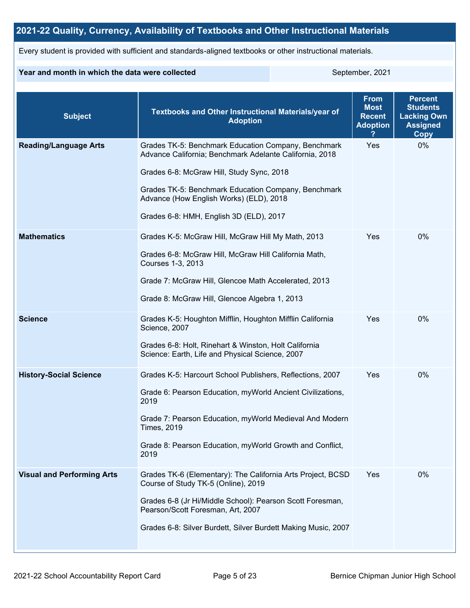## **2021-22 Quality, Currency, Availability of Textbooks and Other Instructional Materials**

Every student is provided with sufficient and standards-aligned textbooks or other instructional materials.

### **Year and month in which the data were collected** September, 2021

| <b>Subject</b>                    | Textbooks and Other Instructional Materials/year of<br><b>Adoption</b>                                                                                                                                                                                                                                   | <b>From</b><br><b>Most</b><br><b>Recent</b><br><b>Adoption</b> | <b>Percent</b><br><b>Students</b><br><b>Lacking Own</b><br><b>Assigned</b><br>Copy |
|-----------------------------------|----------------------------------------------------------------------------------------------------------------------------------------------------------------------------------------------------------------------------------------------------------------------------------------------------------|----------------------------------------------------------------|------------------------------------------------------------------------------------|
| <b>Reading/Language Arts</b>      | Grades TK-5: Benchmark Education Company, Benchmark<br>Advance California; Benchmark Adelante California, 2018<br>Grades 6-8: McGraw Hill, Study Sync, 2018<br>Grades TK-5: Benchmark Education Company, Benchmark<br>Advance (How English Works) (ELD), 2018<br>Grades 6-8: HMH, English 3D (ELD), 2017 | Yes                                                            | 0%                                                                                 |
| <b>Mathematics</b>                | Grades K-5: McGraw Hill, McGraw Hill My Math, 2013<br>Grades 6-8: McGraw Hill, McGraw Hill California Math,<br>Courses 1-3, 2013<br>Grade 7: McGraw Hill, Glencoe Math Accelerated, 2013<br>Grade 8: McGraw Hill, Glencoe Algebra 1, 2013                                                                | Yes                                                            | $0\%$                                                                              |
| <b>Science</b>                    | Grades K-5: Houghton Mifflin, Houghton Mifflin California<br>Science, 2007<br>Grades 6-8: Holt, Rinehart & Winston, Holt California<br>Science: Earth, Life and Physical Science, 2007                                                                                                                   | Yes                                                            | 0%                                                                                 |
| <b>History-Social Science</b>     | Grades K-5: Harcourt School Publishers, Reflections, 2007<br>Grade 6: Pearson Education, myWorld Ancient Civilizations,<br>2019<br>Grade 7: Pearson Education, myWorld Medieval And Modern<br><b>Times, 2019</b><br>Grade 8: Pearson Education, myWorld Growth and Conflict,<br>2019                     | Yes                                                            | 0%                                                                                 |
| <b>Visual and Performing Arts</b> | Grades TK-6 (Elementary): The California Arts Project, BCSD<br>Course of Study TK-5 (Online), 2019<br>Grades 6-8 (Jr Hi/Middle School): Pearson Scott Foresman,<br>Pearson/Scott Foresman, Art, 2007<br>Grades 6-8: Silver Burdett, Silver Burdett Making Music, 2007                                    | Yes                                                            | 0%                                                                                 |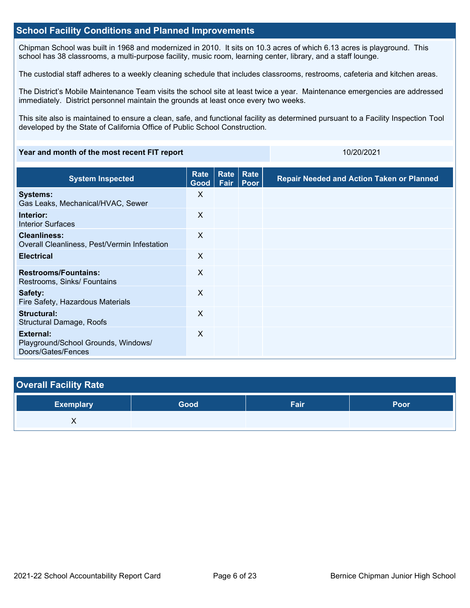### **School Facility Conditions and Planned Improvements**

Chipman School was built in 1968 and modernized in 2010. It sits on 10.3 acres of which 6.13 acres is playground. This school has 38 classrooms, a multi-purpose facility, music room, learning center, library, and a staff lounge.

The custodial staff adheres to a weekly cleaning schedule that includes classrooms, restrooms, cafeteria and kitchen areas.

The District's Mobile Maintenance Team visits the school site at least twice a year. Maintenance emergencies are addressed immediately. District personnel maintain the grounds at least once every two weeks.

This site also is maintained to ensure a clean, safe, and functional facility as determined pursuant to a Facility Inspection Tool developed by the State of California Office of Public School Construction.

### **Year and month of the most recent FIT report** 10/20/2021

| <b>System Inspected</b>                                                | <b>Rate</b><br>Good       | Rate<br>Fair | Rate<br>Poor | <b>Repair Needed and Action Taken or Planned</b> |
|------------------------------------------------------------------------|---------------------------|--------------|--------------|--------------------------------------------------|
| <b>Systems:</b><br>Gas Leaks, Mechanical/HVAC, Sewer                   | X                         |              |              |                                                  |
| Interior:<br><b>Interior Surfaces</b>                                  | X                         |              |              |                                                  |
| <b>Cleanliness:</b><br>Overall Cleanliness, Pest/Vermin Infestation    | $\boldsymbol{\mathsf{X}}$ |              |              |                                                  |
| <b>Electrical</b>                                                      | $\boldsymbol{\mathsf{X}}$ |              |              |                                                  |
| <b>Restrooms/Fountains:</b><br>Restrooms, Sinks/ Fountains             | X                         |              |              |                                                  |
| Safety:<br>Fire Safety, Hazardous Materials                            | X                         |              |              |                                                  |
| Structural:<br>Structural Damage, Roofs                                | $\sf X$                   |              |              |                                                  |
| External:<br>Playground/School Grounds, Windows/<br>Doors/Gates/Fences | X                         |              |              |                                                  |

| <b>Overall Facility Rate</b> |      |      |      |
|------------------------------|------|------|------|
| <b>Exemplary</b>             | Good | Fair | Poor |
|                              |      |      |      |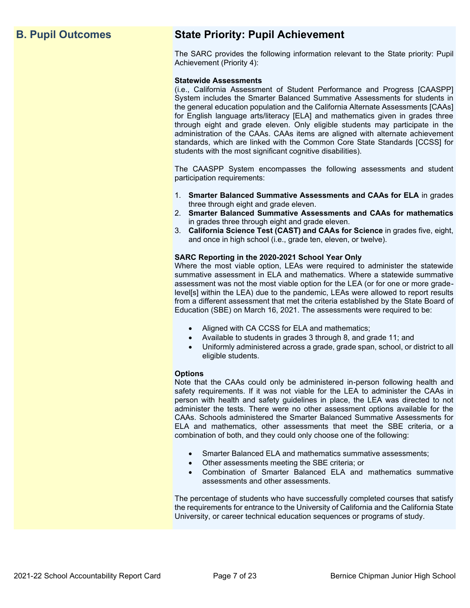## **B. Pupil Outcomes State Priority: Pupil Achievement**

The SARC provides the following information relevant to the State priority: Pupil Achievement (Priority 4):

### **Statewide Assessments**

(i.e., California Assessment of Student Performance and Progress [CAASPP] System includes the Smarter Balanced Summative Assessments for students in the general education population and the California Alternate Assessments [CAAs] for English language arts/literacy [ELA] and mathematics given in grades three through eight and grade eleven. Only eligible students may participate in the administration of the CAAs. CAAs items are aligned with alternate achievement standards, which are linked with the Common Core State Standards [CCSS] for students with the most significant cognitive disabilities).

The CAASPP System encompasses the following assessments and student participation requirements:

- 1. **Smarter Balanced Summative Assessments and CAAs for ELA** in grades three through eight and grade eleven.
- 2. **Smarter Balanced Summative Assessments and CAAs for mathematics** in grades three through eight and grade eleven.
- 3. **California Science Test (CAST) and CAAs for Science** in grades five, eight, and once in high school (i.e., grade ten, eleven, or twelve).

### **SARC Reporting in the 2020-2021 School Year Only**

Where the most viable option, LEAs were required to administer the statewide summative assessment in ELA and mathematics. Where a statewide summative assessment was not the most viable option for the LEA (or for one or more gradelevel[s] within the LEA) due to the pandemic, LEAs were allowed to report results from a different assessment that met the criteria established by the State Board of Education (SBE) on March 16, 2021. The assessments were required to be:

- Aligned with CA CCSS for ELA and mathematics;
- Available to students in grades 3 through 8, and grade 11; and
- Uniformly administered across a grade, grade span, school, or district to all eligible students.

### **Options**

Note that the CAAs could only be administered in-person following health and safety requirements. If it was not viable for the LEA to administer the CAAs in person with health and safety guidelines in place, the LEA was directed to not administer the tests. There were no other assessment options available for the CAAs. Schools administered the Smarter Balanced Summative Assessments for ELA and mathematics, other assessments that meet the SBE criteria, or a combination of both, and they could only choose one of the following:

- Smarter Balanced ELA and mathematics summative assessments;
- Other assessments meeting the SBE criteria; or
- Combination of Smarter Balanced ELA and mathematics summative assessments and other assessments.

The percentage of students who have successfully completed courses that satisfy the requirements for entrance to the University of California and the California State University, or career technical education sequences or programs of study.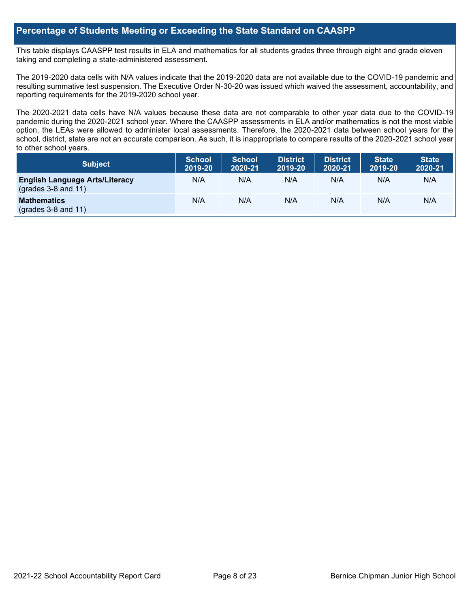## **Percentage of Students Meeting or Exceeding the State Standard on CAASPP**

This table displays CAASPP test results in ELA and mathematics for all students grades three through eight and grade eleven taking and completing a state-administered assessment.

The 2019-2020 data cells with N/A values indicate that the 2019-2020 data are not available due to the COVID-19 pandemic and resulting summative test suspension. The Executive Order N-30-20 was issued which waived the assessment, accountability, and reporting requirements for the 2019-2020 school year.

The 2020-2021 data cells have N/A values because these data are not comparable to other year data due to the COVID-19 pandemic during the 2020-2021 school year. Where the CAASPP assessments in ELA and/or mathematics is not the most viable option, the LEAs were allowed to administer local assessments. Therefore, the 2020-2021 data between school years for the school, district, state are not an accurate comparison. As such, it is inappropriate to compare results of the 2020-2021 school year to other school years.

| Subject                                                              | <b>School</b><br>2019-20 | <b>School</b><br>2020-21 | <b>District</b><br>2019-20 | <b>District</b><br>2020-21 | <b>State</b><br>2019-20 | <b>State</b><br>2020-21 |
|----------------------------------------------------------------------|--------------------------|--------------------------|----------------------------|----------------------------|-------------------------|-------------------------|
| <b>English Language Arts/Literacy</b><br>$\left($ grades 3-8 and 11) | N/A                      | N/A                      | N/A                        | N/A                        | N/A                     | N/A                     |
| <b>Mathematics</b><br>$(grades 3-8 and 11)$                          | N/A                      | N/A                      | N/A                        | N/A                        | N/A                     | N/A                     |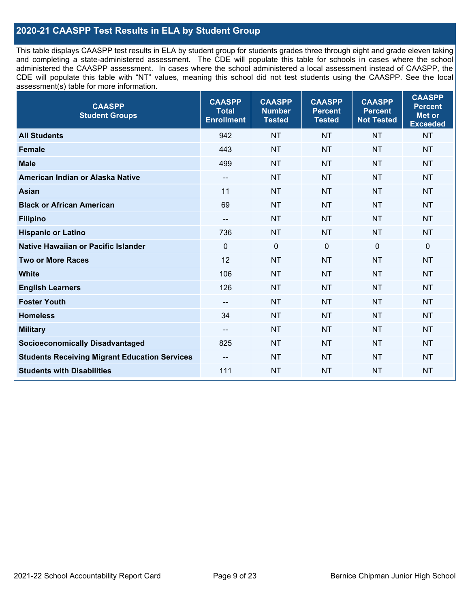## **2020-21 CAASPP Test Results in ELA by Student Group**

This table displays CAASPP test results in ELA by student group for students grades three through eight and grade eleven taking and completing a state-administered assessment. The CDE will populate this table for schools in cases where the school administered the CAASPP assessment. In cases where the school administered a local assessment instead of CAASPP, the CDE will populate this table with "NT" values, meaning this school did not test students using the CAASPP. See the local assessment(s) table for more information.

| <b>CAASPP</b><br><b>Student Groups</b>               | <b>CAASPP</b><br><b>Total</b><br><b>Enrollment</b> | <b>CAASPP</b><br><b>Number</b><br><b>Tested</b> | <b>CAASPP</b><br><b>Percent</b><br><b>Tested</b> | <b>CAASPP</b><br><b>Percent</b><br><b>Not Tested</b> | <b>CAASPP</b><br><b>Percent</b><br><b>Met or</b><br><b>Exceeded</b> |
|------------------------------------------------------|----------------------------------------------------|-------------------------------------------------|--------------------------------------------------|------------------------------------------------------|---------------------------------------------------------------------|
| <b>All Students</b>                                  | 942                                                | <b>NT</b>                                       | <b>NT</b>                                        | <b>NT</b>                                            | <b>NT</b>                                                           |
| <b>Female</b>                                        | 443                                                | <b>NT</b>                                       | <b>NT</b>                                        | <b>NT</b>                                            | <b>NT</b>                                                           |
| <b>Male</b>                                          | 499                                                | <b>NT</b>                                       | <b>NT</b>                                        | <b>NT</b>                                            | <b>NT</b>                                                           |
| American Indian or Alaska Native                     | $\qquad \qquad -$                                  | <b>NT</b>                                       | <b>NT</b>                                        | <b>NT</b>                                            | <b>NT</b>                                                           |
| <b>Asian</b>                                         | 11                                                 | <b>NT</b>                                       | <b>NT</b>                                        | <b>NT</b>                                            | <b>NT</b>                                                           |
| <b>Black or African American</b>                     | 69                                                 | <b>NT</b>                                       | <b>NT</b>                                        | <b>NT</b>                                            | <b>NT</b>                                                           |
| <b>Filipino</b>                                      | $- -$                                              | <b>NT</b>                                       | <b>NT</b>                                        | <b>NT</b>                                            | <b>NT</b>                                                           |
| <b>Hispanic or Latino</b>                            | 736                                                | <b>NT</b>                                       | <b>NT</b>                                        | <b>NT</b>                                            | <b>NT</b>                                                           |
| Native Hawaiian or Pacific Islander                  | $\mathbf 0$                                        | $\mathbf 0$                                     | $\mathbf 0$                                      | $\mathbf 0$                                          | $\mathbf 0$                                                         |
| <b>Two or More Races</b>                             | 12                                                 | <b>NT</b>                                       | <b>NT</b>                                        | <b>NT</b>                                            | <b>NT</b>                                                           |
| <b>White</b>                                         | 106                                                | <b>NT</b>                                       | <b>NT</b>                                        | <b>NT</b>                                            | <b>NT</b>                                                           |
| <b>English Learners</b>                              | 126                                                | <b>NT</b>                                       | <b>NT</b>                                        | <b>NT</b>                                            | <b>NT</b>                                                           |
| <b>Foster Youth</b>                                  | $\overline{\phantom{a}}$                           | <b>NT</b>                                       | <b>NT</b>                                        | <b>NT</b>                                            | <b>NT</b>                                                           |
| <b>Homeless</b>                                      | 34                                                 | <b>NT</b>                                       | <b>NT</b>                                        | <b>NT</b>                                            | <b>NT</b>                                                           |
| <b>Military</b>                                      | --                                                 | <b>NT</b>                                       | <b>NT</b>                                        | <b>NT</b>                                            | <b>NT</b>                                                           |
| <b>Socioeconomically Disadvantaged</b>               | 825                                                | <b>NT</b>                                       | <b>NT</b>                                        | <b>NT</b>                                            | <b>NT</b>                                                           |
| <b>Students Receiving Migrant Education Services</b> | $\qquad \qquad -$                                  | <b>NT</b>                                       | <b>NT</b>                                        | <b>NT</b>                                            | NT                                                                  |
| <b>Students with Disabilities</b>                    | 111                                                | <b>NT</b>                                       | <b>NT</b>                                        | <b>NT</b>                                            | <b>NT</b>                                                           |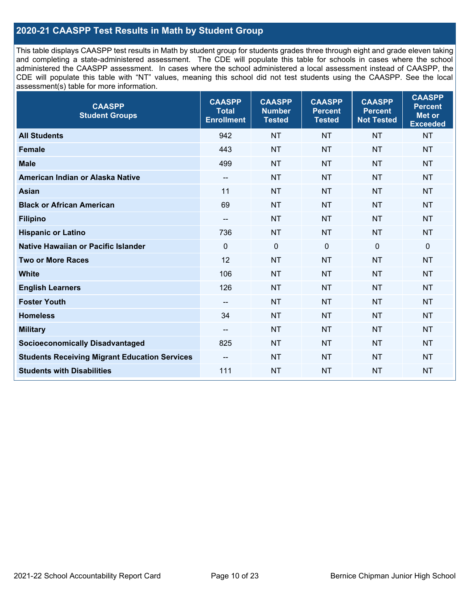## **2020-21 CAASPP Test Results in Math by Student Group**

This table displays CAASPP test results in Math by student group for students grades three through eight and grade eleven taking and completing a state-administered assessment. The CDE will populate this table for schools in cases where the school administered the CAASPP assessment. In cases where the school administered a local assessment instead of CAASPP, the CDE will populate this table with "NT" values, meaning this school did not test students using the CAASPP. See the local assessment(s) table for more information.

| <b>CAASPP</b><br><b>Student Groups</b>               | <b>CAASPP</b><br><b>Total</b><br><b>Enrollment</b> | <b>CAASPP</b><br><b>Number</b><br><b>Tested</b> | <b>CAASPP</b><br><b>Percent</b><br><b>Tested</b> | <b>CAASPP</b><br><b>Percent</b><br><b>Not Tested</b> | <b>CAASPP</b><br><b>Percent</b><br>Met or<br><b>Exceeded</b> |
|------------------------------------------------------|----------------------------------------------------|-------------------------------------------------|--------------------------------------------------|------------------------------------------------------|--------------------------------------------------------------|
| <b>All Students</b>                                  | 942                                                | <b>NT</b>                                       | <b>NT</b>                                        | <b>NT</b>                                            | <b>NT</b>                                                    |
| <b>Female</b>                                        | 443                                                | <b>NT</b>                                       | <b>NT</b>                                        | <b>NT</b>                                            | <b>NT</b>                                                    |
| <b>Male</b>                                          | 499                                                | <b>NT</b>                                       | <b>NT</b>                                        | <b>NT</b>                                            | <b>NT</b>                                                    |
| American Indian or Alaska Native                     | $\overline{\phantom{a}}$                           | <b>NT</b>                                       | <b>NT</b>                                        | <b>NT</b>                                            | <b>NT</b>                                                    |
| <b>Asian</b>                                         | 11                                                 | <b>NT</b>                                       | <b>NT</b>                                        | <b>NT</b>                                            | <b>NT</b>                                                    |
| <b>Black or African American</b>                     | 69                                                 | <b>NT</b>                                       | <b>NT</b>                                        | <b>NT</b>                                            | <b>NT</b>                                                    |
| <b>Filipino</b>                                      | $\overline{\phantom{a}}$                           | <b>NT</b>                                       | <b>NT</b>                                        | <b>NT</b>                                            | <b>NT</b>                                                    |
| <b>Hispanic or Latino</b>                            | 736                                                | <b>NT</b>                                       | <b>NT</b>                                        | <b>NT</b>                                            | <b>NT</b>                                                    |
| Native Hawaiian or Pacific Islander                  | $\mathbf 0$                                        | $\mathbf 0$                                     | $\mathbf{0}$                                     | $\overline{0}$                                       | 0                                                            |
| <b>Two or More Races</b>                             | 12                                                 | <b>NT</b>                                       | <b>NT</b>                                        | <b>NT</b>                                            | <b>NT</b>                                                    |
| <b>White</b>                                         | 106                                                | <b>NT</b>                                       | <b>NT</b>                                        | <b>NT</b>                                            | <b>NT</b>                                                    |
| <b>English Learners</b>                              | 126                                                | <b>NT</b>                                       | <b>NT</b>                                        | <b>NT</b>                                            | <b>NT</b>                                                    |
| <b>Foster Youth</b>                                  | $\overline{\phantom{a}}$                           | <b>NT</b>                                       | <b>NT</b>                                        | <b>NT</b>                                            | <b>NT</b>                                                    |
| <b>Homeless</b>                                      | 34                                                 | <b>NT</b>                                       | <b>NT</b>                                        | <b>NT</b>                                            | <b>NT</b>                                                    |
| <b>Military</b>                                      | $\overline{\phantom{a}}$                           | <b>NT</b>                                       | <b>NT</b>                                        | <b>NT</b>                                            | <b>NT</b>                                                    |
| <b>Socioeconomically Disadvantaged</b>               | 825                                                | <b>NT</b>                                       | <b>NT</b>                                        | <b>NT</b>                                            | <b>NT</b>                                                    |
| <b>Students Receiving Migrant Education Services</b> | $\overline{\phantom{a}}$                           | <b>NT</b>                                       | <b>NT</b>                                        | <b>NT</b>                                            | <b>NT</b>                                                    |
| <b>Students with Disabilities</b>                    | 111                                                | <b>NT</b>                                       | <b>NT</b>                                        | <b>NT</b>                                            | <b>NT</b>                                                    |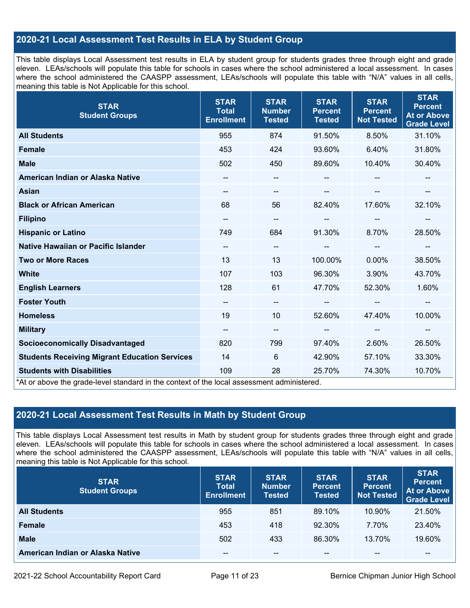## **2020-21 Local Assessment Test Results in ELA by Student Group**

This table displays Local Assessment test results in ELA by student group for students grades three through eight and grade eleven. LEAs/schools will populate this table for schools in cases where the school administered a local assessment. In cases where the school administered the CAASPP assessment, LEAs/schools will populate this table with "N/A" values in all cells, meaning this table is Not Applicable for this school.

| <b>STAR</b><br><b>Student Groups</b>                                                                                            | <b>STAR</b><br><b>Total</b><br><b>Enrollment</b> | <b>STAR</b><br><b>Number</b><br><b>Tested</b> | <b>STAR</b><br><b>Percent</b><br><b>Tested</b> | <b>STAR</b><br><b>Percent</b><br><b>Not Tested</b> | <b>STAR</b><br><b>Percent</b><br><b>At or Above</b><br><b>Grade Level</b> |
|---------------------------------------------------------------------------------------------------------------------------------|--------------------------------------------------|-----------------------------------------------|------------------------------------------------|----------------------------------------------------|---------------------------------------------------------------------------|
| <b>All Students</b>                                                                                                             | 955                                              | 874                                           | 91.50%                                         | 8.50%                                              | 31.10%                                                                    |
| <b>Female</b>                                                                                                                   | 453                                              | 424                                           | 93.60%                                         | 6.40%                                              | 31.80%                                                                    |
| <b>Male</b>                                                                                                                     | 502                                              | 450                                           | 89.60%                                         | 10.40%                                             | 30.40%                                                                    |
| American Indian or Alaska Native                                                                                                | --                                               | $\overline{\phantom{m}}$                      | --                                             |                                                    |                                                                           |
| <b>Asian</b>                                                                                                                    | $\overline{\phantom{a}}$                         | $\overline{\phantom{a}}$                      |                                                | --                                                 |                                                                           |
| <b>Black or African American</b>                                                                                                | 68                                               | 56                                            | 82.40%                                         | 17.60%                                             | 32.10%                                                                    |
| <b>Filipino</b>                                                                                                                 | $\overline{\phantom{a}}$                         | $\overline{\phantom{m}}$                      | --                                             |                                                    | --                                                                        |
| <b>Hispanic or Latino</b>                                                                                                       | 749                                              | 684                                           | 91.30%                                         | 8.70%                                              | 28.50%                                                                    |
| Native Hawaiian or Pacific Islander                                                                                             | $\overline{\phantom{a}}$                         | $\overline{\phantom{a}}$                      |                                                | --                                                 |                                                                           |
| <b>Two or More Races</b>                                                                                                        | 13                                               | 13                                            | 100.00%                                        | 0.00%                                              | 38.50%                                                                    |
| <b>White</b>                                                                                                                    | 107                                              | 103                                           | 96.30%                                         | 3.90%                                              | 43.70%                                                                    |
| <b>English Learners</b>                                                                                                         | 128                                              | 61                                            | 47.70%                                         | 52.30%                                             | 1.60%                                                                     |
| <b>Foster Youth</b>                                                                                                             | --                                               | $\overline{\phantom{a}}$                      |                                                | $\overline{\phantom{a}}$                           | --                                                                        |
| <b>Homeless</b>                                                                                                                 | 19                                               | 10                                            | 52.60%                                         | 47.40%                                             | 10.00%                                                                    |
| <b>Military</b>                                                                                                                 | --                                               | $\overline{\phantom{a}}$                      | --                                             | $\overline{\phantom{a}}$                           | --                                                                        |
| <b>Socioeconomically Disadvantaged</b>                                                                                          | 820                                              | 799                                           | 97.40%                                         | 2.60%                                              | 26.50%                                                                    |
| <b>Students Receiving Migrant Education Services</b>                                                                            | 14                                               | 6                                             | 42.90%                                         | 57.10%                                             | 33.30%                                                                    |
| <b>Students with Disabilities</b><br>*At or above the grade-level standard in the context of the local assessment administered. | 109                                              | 28                                            | 25.70%                                         | 74.30%                                             | 10.70%                                                                    |

## **2020-21 Local Assessment Test Results in Math by Student Group**

This table displays Local Assessment test results in Math by student group for students grades three through eight and grade eleven. LEAs/schools will populate this table for schools in cases where the school administered a local assessment. In cases where the school administered the CAASPP assessment, LEAs/schools will populate this table with "N/A" values in all cells, meaning this table is Not Applicable for this school.

| <b>STAR</b><br><b>Student Groups</b> | <b>STAR</b><br><b>Total</b><br><b>Enrollment</b> | <b>STAR</b><br><b>Number</b><br><b>Tested</b> | <b>STAR</b><br><b>Percent</b><br><b>Tested</b> | <b>STAR</b><br><b>Percent</b><br><b>Not Tested</b> | <b>STAR</b><br><b>Percent</b><br><b>At or Above</b><br><b>Grade Level</b> |
|--------------------------------------|--------------------------------------------------|-----------------------------------------------|------------------------------------------------|----------------------------------------------------|---------------------------------------------------------------------------|
| <b>All Students</b>                  | 955                                              | 851                                           | 89.10%                                         | 10.90%                                             | 21.50%                                                                    |
| <b>Female</b>                        | 453                                              | 418                                           | $92.30\%$                                      | 7.70%                                              | 23.40%                                                                    |
| <b>Male</b>                          | 502                                              | 433                                           | 86.30%                                         | 13.70%                                             | 19.60%                                                                    |
| American Indian or Alaska Native     | --                                               | $- -$                                         | $- -$                                          | $- -$                                              | $\overline{\phantom{m}}$                                                  |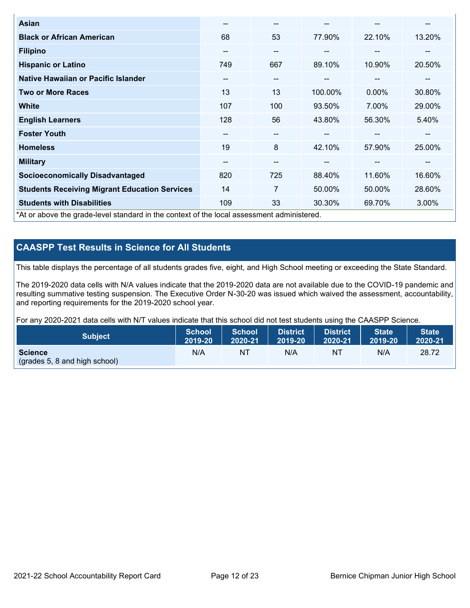| <b>Asian</b>                                                                               | --  | $\overline{\phantom{m}}$ | --      | --                       | --     |
|--------------------------------------------------------------------------------------------|-----|--------------------------|---------|--------------------------|--------|
| <b>Black or African American</b>                                                           | 68  | 53                       | 77.90%  | 22.10%                   | 13.20% |
| <b>Filipino</b>                                                                            | --  | $\qquad \qquad \cdots$   | --      | $\overline{\phantom{m}}$ | --     |
| <b>Hispanic or Latino</b>                                                                  | 749 | 667                      | 89.10%  | 10.90%                   | 20.50% |
| <b>Native Hawaiian or Pacific Islander</b>                                                 | --  | $\qquad \qquad \cdots$   | --      | $\sim$                   | --     |
| <b>Two or More Races</b>                                                                   | 13  | 13                       | 100.00% | 0.00%                    | 30.80% |
| <b>White</b>                                                                               | 107 | 100                      | 93.50%  | 7.00%                    | 29.00% |
| <b>English Learners</b>                                                                    | 128 | 56                       | 43.80%  | 56.30%                   | 5.40%  |
| <b>Foster Youth</b>                                                                        | --  | $\qquad \qquad \cdots$   |         | --                       | --     |
| <b>Homeless</b>                                                                            | 19  | 8                        | 42.10%  | 57.90%                   | 25.00% |
| <b>Military</b>                                                                            | --  | $- -$                    | --      | --                       | --     |
| <b>Socioeconomically Disadvantaged</b>                                                     | 820 | 725                      | 88.40%  | 11.60%                   | 16.60% |
| <b>Students Receiving Migrant Education Services</b>                                       | 14  | $\overline{7}$           | 50.00%  | 50.00%                   | 28.60% |
| <b>Students with Disabilities</b>                                                          | 109 | 33                       | 30.30%  | 69.70%                   | 3.00%  |
| *At or above the grade-level standard in the context of the local assessment administered. |     |                          |         |                          |        |

## **CAASPP Test Results in Science for All Students**

This table displays the percentage of all students grades five, eight, and High School meeting or exceeding the State Standard.

The 2019-2020 data cells with N/A values indicate that the 2019-2020 data are not available due to the COVID-19 pandemic and resulting summative testing suspension. The Executive Order N-30-20 was issued which waived the assessment, accountability, and reporting requirements for the 2019-2020 school year.

For any 2020-2021 data cells with N/T values indicate that this school did not test students using the CAASPP Science.

| <b>Subject</b>                                           | <b>School</b> | <b>School</b> | <b>District</b> | District | <b>State</b> | <b>State</b> |
|----------------------------------------------------------|---------------|---------------|-----------------|----------|--------------|--------------|
|                                                          | 2019-20       | 2020-21       | 2019-20         | 2020-21  | 2019-20      | 2020-21      |
| <b>Science</b><br>$\left($ (grades 5, 8 and high school) | N/A           | NT            | N/A             | NT       | N/A          | 28.72        |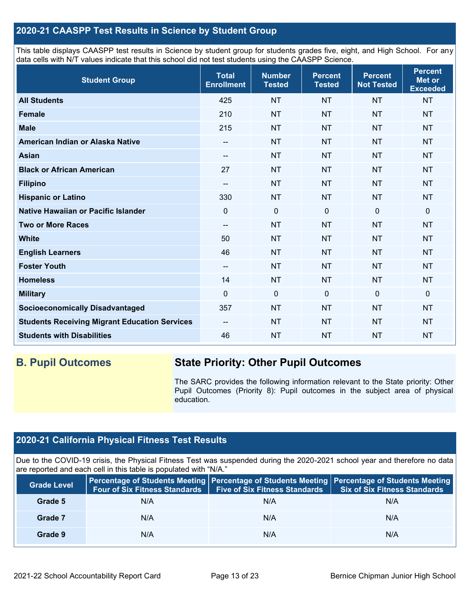## **2020-21 CAASPP Test Results in Science by Student Group**

This table displays CAASPP test results in Science by student group for students grades five, eight, and High School. For any data cells with N/T values indicate that this school did not test students using the CAASPP Science.

| <b>Student Group</b>                                 | <b>Total</b><br><b>Enrollment</b> | <b>Number</b><br><b>Tested</b> | <b>Percent</b><br><b>Tested</b> | <b>Percent</b><br><b>Not Tested</b> | <b>Percent</b><br>Met or<br><b>Exceeded</b> |
|------------------------------------------------------|-----------------------------------|--------------------------------|---------------------------------|-------------------------------------|---------------------------------------------|
| <b>All Students</b>                                  | 425                               | <b>NT</b>                      | <b>NT</b>                       | <b>NT</b>                           | <b>NT</b>                                   |
| <b>Female</b>                                        | 210                               | <b>NT</b>                      | <b>NT</b>                       | <b>NT</b>                           | <b>NT</b>                                   |
| <b>Male</b>                                          | 215                               | <b>NT</b>                      | <b>NT</b>                       | <b>NT</b>                           | <b>NT</b>                                   |
| American Indian or Alaska Native                     | --                                | <b>NT</b>                      | <b>NT</b>                       | <b>NT</b>                           | <b>NT</b>                                   |
| <b>Asian</b>                                         | --                                | <b>NT</b>                      | <b>NT</b>                       | <b>NT</b>                           | <b>NT</b>                                   |
| <b>Black or African American</b>                     | 27                                | <b>NT</b>                      | <b>NT</b>                       | <b>NT</b>                           | <b>NT</b>                                   |
| <b>Filipino</b>                                      | --                                | <b>NT</b>                      | <b>NT</b>                       | <b>NT</b>                           | <b>NT</b>                                   |
| <b>Hispanic or Latino</b>                            | 330                               | <b>NT</b>                      | <b>NT</b>                       | <b>NT</b>                           | <b>NT</b>                                   |
| Native Hawaiian or Pacific Islander                  | 0                                 | $\mathbf 0$                    | $\mathbf 0$                     | $\mathbf 0$                         | 0                                           |
| <b>Two or More Races</b>                             | --                                | <b>NT</b>                      | <b>NT</b>                       | <b>NT</b>                           | <b>NT</b>                                   |
| <b>White</b>                                         | 50                                | <b>NT</b>                      | <b>NT</b>                       | <b>NT</b>                           | <b>NT</b>                                   |
| <b>English Learners</b>                              | 46                                | <b>NT</b>                      | <b>NT</b>                       | <b>NT</b>                           | <b>NT</b>                                   |
| <b>Foster Youth</b>                                  | --                                | <b>NT</b>                      | <b>NT</b>                       | <b>NT</b>                           | <b>NT</b>                                   |
| <b>Homeless</b>                                      | 14                                | <b>NT</b>                      | <b>NT</b>                       | <b>NT</b>                           | <b>NT</b>                                   |
| <b>Military</b>                                      | $\Omega$                          | $\mathbf 0$                    | $\mathbf{0}$                    | $\mathbf 0$                         | 0                                           |
| <b>Socioeconomically Disadvantaged</b>               | 357                               | <b>NT</b>                      | <b>NT</b>                       | <b>NT</b>                           | <b>NT</b>                                   |
| <b>Students Receiving Migrant Education Services</b> | $-$                               | <b>NT</b>                      | <b>NT</b>                       | <b>NT</b>                           | <b>NT</b>                                   |
| <b>Students with Disabilities</b>                    | 46                                | <b>NT</b>                      | <b>NT</b>                       | <b>NT</b>                           | <b>NT</b>                                   |

## **B. Pupil Outcomes State Priority: Other Pupil Outcomes**

The SARC provides the following information relevant to the State priority: Other Pupil Outcomes (Priority 8): Pupil outcomes in the subject area of physical education.

## **2020-21 California Physical Fitness Test Results**

Due to the COVID-19 crisis, the Physical Fitness Test was suspended during the 2020-2021 school year and therefore no data are reported and each cell in this table is populated with "N/A."

| <b>Grade Level</b> | <b>Four of Six Fitness Standards</b> | <b>Five of Six Fitness Standards</b> | Percentage of Students Meeting   Percentage of Students Meeting   Percentage of Students Meeting<br><b>Six of Six Fitness Standards</b> |
|--------------------|--------------------------------------|--------------------------------------|-----------------------------------------------------------------------------------------------------------------------------------------|
| Grade 5            | N/A                                  | N/A                                  | N/A                                                                                                                                     |
| Grade 7            | N/A                                  | N/A                                  | N/A                                                                                                                                     |
| Grade 9            | N/A                                  | N/A                                  | N/A                                                                                                                                     |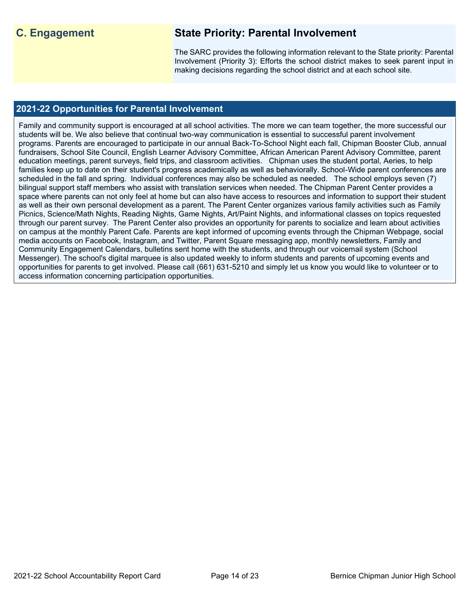## **C. Engagement State Priority: Parental Involvement**

The SARC provides the following information relevant to the State priority: Parental Involvement (Priority 3): Efforts the school district makes to seek parent input in making decisions regarding the school district and at each school site.

## **2021-22 Opportunities for Parental Involvement**

Family and community support is encouraged at all school activities. The more we can team together, the more successful our students will be. We also believe that continual two-way communication is essential to successful parent involvement programs. Parents are encouraged to participate in our annual Back-To-School Night each fall, Chipman Booster Club, annual fundraisers, School Site Council, English Learner Advisory Committee, African American Parent Advisory Committee, parent education meetings, parent surveys, field trips, and classroom activities. Chipman uses the student portal, Aeries, to help families keep up to date on their student's progress academically as well as behaviorally. School-Wide parent conferences are scheduled in the fall and spring. Individual conferences may also be scheduled as needed. The school employs seven (7) bilingual support staff members who assist with translation services when needed. The Chipman Parent Center provides a space where parents can not only feel at home but can also have access to resources and information to support their student as well as their own personal development as a parent. The Parent Center organizes various family activities such as Family Picnics, Science/Math Nights, Reading Nights, Game Nights, Art/Paint Nights, and informational classes on topics requested through our parent survey. The Parent Center also provides an opportunity for parents to socialize and learn about activities on campus at the monthly Parent Cafe. Parents are kept informed of upcoming events through the Chipman Webpage, social media accounts on Facebook, Instagram, and Twitter, Parent Square messaging app, monthly newsletters, Family and Community Engagement Calendars, bulletins sent home with the students, and through our voicemail system (School Messenger). The school's digital marquee is also updated weekly to inform students and parents of upcoming events and opportunities for parents to get involved. Please call (661) 631-5210 and simply let us know you would like to volunteer or to access information concerning participation opportunities.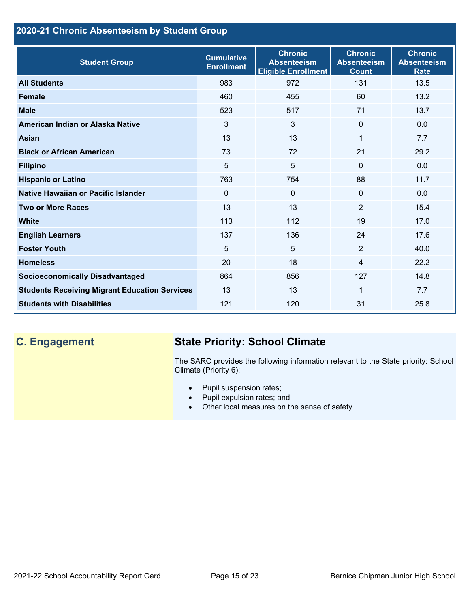## **2020-21 Chronic Absenteeism by Student Group**

| <b>Student Group</b>                                 | <b>Cumulative</b><br><b>Enrollment</b> | <b>Chronic</b><br><b>Absenteeism</b><br><b>Eligible Enrollment</b> | <b>Chronic</b><br><b>Absenteeism</b><br><b>Count</b> | <b>Chronic</b><br><b>Absenteeism</b><br><b>Rate</b> |
|------------------------------------------------------|----------------------------------------|--------------------------------------------------------------------|------------------------------------------------------|-----------------------------------------------------|
| <b>All Students</b>                                  | 983                                    | 972                                                                | 131                                                  | 13.5                                                |
| <b>Female</b>                                        | 460                                    | 455                                                                | 60                                                   | 13.2                                                |
| <b>Male</b>                                          | 523                                    | 517                                                                | 71                                                   | 13.7                                                |
| American Indian or Alaska Native                     | 3                                      | 3                                                                  | $\Omega$                                             | 0.0                                                 |
| Asian                                                | 13                                     | 13                                                                 | 1                                                    | 7.7                                                 |
| <b>Black or African American</b>                     | 73                                     | 72                                                                 | 21                                                   | 29.2                                                |
| <b>Filipino</b>                                      | 5                                      | 5                                                                  | $\mathbf{0}$                                         | 0.0                                                 |
| <b>Hispanic or Latino</b>                            | 763                                    | 754                                                                | 88                                                   | 11.7                                                |
| Native Hawaiian or Pacific Islander                  | 0                                      | $\mathbf 0$                                                        | $\mathbf 0$                                          | 0.0                                                 |
| <b>Two or More Races</b>                             | 13                                     | 13                                                                 | 2                                                    | 15.4                                                |
| <b>White</b>                                         | 113                                    | 112                                                                | 19                                                   | 17.0                                                |
| <b>English Learners</b>                              | 137                                    | 136                                                                | 24                                                   | 17.6                                                |
| <b>Foster Youth</b>                                  | 5                                      | 5                                                                  | 2                                                    | 40.0                                                |
| <b>Homeless</b>                                      | 20                                     | 18                                                                 | 4                                                    | 22.2                                                |
| <b>Socioeconomically Disadvantaged</b>               | 864                                    | 856                                                                | 127                                                  | 14.8                                                |
| <b>Students Receiving Migrant Education Services</b> | 13                                     | 13                                                                 | 1                                                    | 7.7                                                 |
| <b>Students with Disabilities</b>                    | 121                                    | 120                                                                | 31                                                   | 25.8                                                |

## **C. Engagement State Priority: School Climate**

The SARC provides the following information relevant to the State priority: School Climate (Priority 6):

- Pupil suspension rates;
- Pupil expulsion rates; and
- Other local measures on the sense of safety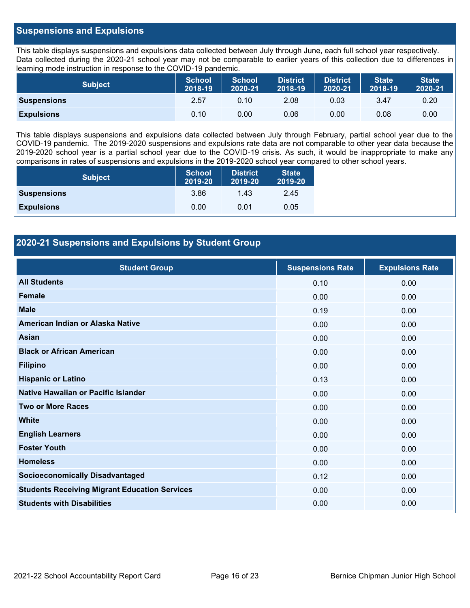## **Suspensions and Expulsions**

This table displays suspensions and expulsions data collected between July through June, each full school year respectively. Data collected during the 2020-21 school year may not be comparable to earlier years of this collection due to differences in learning mode instruction in response to the COVID-19 pandemic.

| <b>Subject</b>     | <b>School</b><br>2018-19 | <b>School</b><br>2020-21 | <b>District</b><br>2018-19 | <b>District</b><br>2020-21 | <b>State</b><br>2018-19 | <b>State</b><br>2020-21 |
|--------------------|--------------------------|--------------------------|----------------------------|----------------------------|-------------------------|-------------------------|
| <b>Suspensions</b> | 2.57                     | 0.10                     | 2.08                       | 0.03                       | 3.47                    | 0.20                    |
| <b>Expulsions</b>  | 0.10                     | 0.00                     | 0.06                       | 0.00                       | 0.08                    | 0.00                    |

This table displays suspensions and expulsions data collected between July through February, partial school year due to the COVID-19 pandemic. The 2019-2020 suspensions and expulsions rate data are not comparable to other year data because the 2019-2020 school year is a partial school year due to the COVID-19 crisis. As such, it would be inappropriate to make any comparisons in rates of suspensions and expulsions in the 2019-2020 school year compared to other school years.

| <b>Subject</b>     | <b>School</b><br>2019-20 | <b>District</b><br>2019-20 | <b>State</b><br>2019-20 |  |
|--------------------|--------------------------|----------------------------|-------------------------|--|
| <b>Suspensions</b> | 3.86                     | 1.43                       | 2.45                    |  |
| <b>Expulsions</b>  | 0.00                     | 0.01                       | 0.05                    |  |

## **2020-21 Suspensions and Expulsions by Student Group**

| <b>Student Group</b>                                 | <b>Suspensions Rate</b> | <b>Expulsions Rate</b> |
|------------------------------------------------------|-------------------------|------------------------|
| <b>All Students</b>                                  | 0.10                    | 0.00                   |
| Female                                               | 0.00                    | 0.00                   |
| <b>Male</b>                                          | 0.19                    | 0.00                   |
| American Indian or Alaska Native                     | 0.00                    | 0.00                   |
| Asian                                                | 0.00                    | 0.00                   |
| <b>Black or African American</b>                     | 0.00                    | 0.00                   |
| <b>Filipino</b>                                      | 0.00                    | 0.00                   |
| <b>Hispanic or Latino</b>                            | 0.13                    | 0.00                   |
| Native Hawaiian or Pacific Islander                  | 0.00                    | 0.00                   |
| <b>Two or More Races</b>                             | 0.00                    | 0.00                   |
| <b>White</b>                                         | 0.00                    | 0.00                   |
| <b>English Learners</b>                              | 0.00                    | 0.00                   |
| <b>Foster Youth</b>                                  | 0.00                    | 0.00                   |
| <b>Homeless</b>                                      | 0.00                    | 0.00                   |
| <b>Socioeconomically Disadvantaged</b>               | 0.12                    | 0.00                   |
| <b>Students Receiving Migrant Education Services</b> | 0.00                    | 0.00                   |
| <b>Students with Disabilities</b>                    | 0.00                    | 0.00                   |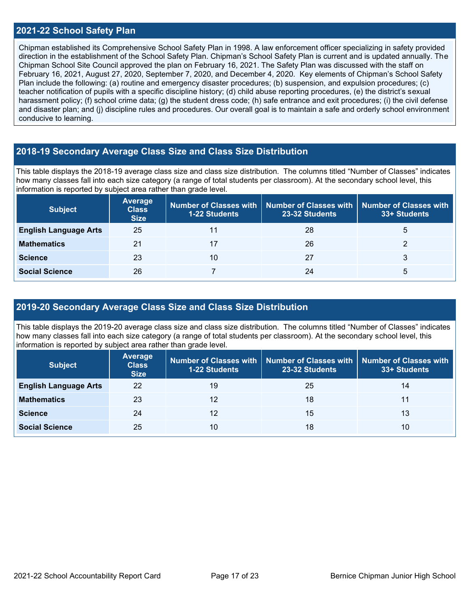### **2021-22 School Safety Plan**

Chipman established its Comprehensive School Safety Plan in 1998. A law enforcement officer specializing in safety provided direction in the establishment of the School Safety Plan. Chipman's School Safety Plan is current and is updated annually. The Chipman School Site Council approved the plan on February 16, 2021. The Safety Plan was discussed with the staff on February 16, 2021, August 27, 2020, September 7, 2020, and December 4, 2020. Key elements of Chipman's School Safety Plan include the following: (a) routine and emergency disaster procedures; (b) suspension, and expulsion procedures; (c) teacher notification of pupils with a specific discipline history; (d) child abuse reporting procedures, (e) the district's sexual harassment policy; (f) school crime data; (g) the student dress code; (h) safe entrance and exit procedures; (i) the civil defense and disaster plan; and (j) discipline rules and procedures. Our overall goal is to maintain a safe and orderly school environment conducive to learning.

### **2018-19 Secondary Average Class Size and Class Size Distribution**

This table displays the 2018-19 average class size and class size distribution. The columns titled "Number of Classes" indicates how many classes fall into each size category (a range of total students per classroom). At the secondary school level, this information is reported by subject area rather than grade level.

| <b>Subject</b>               | Average<br><b>Class</b><br><b>Size</b> | <b>1-22 Students</b> | Number of Classes with   Number of Classes with   Number of Classes with<br>23-32 Students | 33+ Students |
|------------------------------|----------------------------------------|----------------------|--------------------------------------------------------------------------------------------|--------------|
| <b>English Language Arts</b> | 25                                     |                      | 28                                                                                         | b            |
| <b>Mathematics</b>           | 21                                     |                      | 26                                                                                         |              |
| <b>Science</b>               | 23                                     | 10                   | 27                                                                                         | 3            |
| <b>Social Science</b>        | 26                                     |                      | 24                                                                                         | 5            |

## **2019-20 Secondary Average Class Size and Class Size Distribution**

This table displays the 2019-20 average class size and class size distribution. The columns titled "Number of Classes" indicates how many classes fall into each size category (a range of total students per classroom). At the secondary school level, this information is reported by subject area rather than grade level.

| <b>Subject</b>               | Average<br><b>Class</b><br><b>Size</b> | <b>1-22 Students</b> | Number of Classes with   Number of Classes with  <br>23-32 Students | <b>Number of Classes with</b><br>33+ Students |
|------------------------------|----------------------------------------|----------------------|---------------------------------------------------------------------|-----------------------------------------------|
| <b>English Language Arts</b> | 22                                     | 19                   | 25                                                                  | 14                                            |
| <b>Mathematics</b>           | 23                                     | 12                   | 18                                                                  | 11                                            |
| <b>Science</b>               | 24                                     | 12                   | 15                                                                  | 13                                            |
| <b>Social Science</b>        | 25                                     | 10                   | 18                                                                  | 10                                            |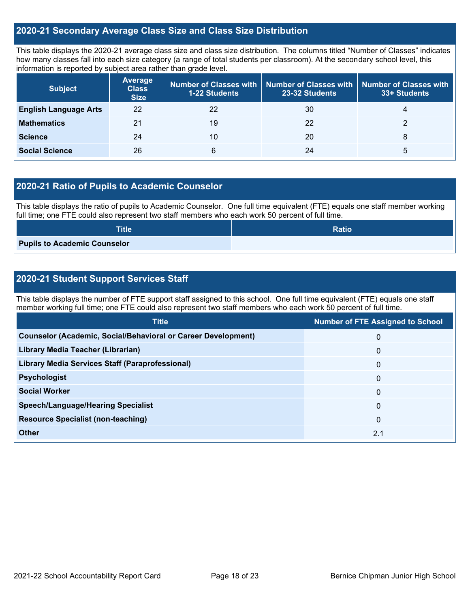## **2020-21 Secondary Average Class Size and Class Size Distribution**

This table displays the 2020-21 average class size and class size distribution. The columns titled "Number of Classes" indicates how many classes fall into each size category (a range of total students per classroom). At the secondary school level, this information is reported by subject area rather than grade level.

| <b>Subject</b>               | <b>Average</b><br><b>Class</b><br><b>Size</b> | <b>1-22 Students</b> | Number of Classes with   Number of Classes with  <br>23-32 Students | <b>Number of Classes with</b><br>33+ Students |
|------------------------------|-----------------------------------------------|----------------------|---------------------------------------------------------------------|-----------------------------------------------|
| <b>English Language Arts</b> | 22                                            | 22                   | 30                                                                  | 4                                             |
| <b>Mathematics</b>           | 21                                            | 19                   | 22                                                                  |                                               |
| <b>Science</b>               | 24                                            | 10                   | 20                                                                  | 8                                             |
| <b>Social Science</b>        | 26                                            | 6                    | 24                                                                  | b                                             |

## **2020-21 Ratio of Pupils to Academic Counselor**

This table displays the ratio of pupils to Academic Counselor. One full time equivalent (FTE) equals one staff member working full time; one FTE could also represent two staff members who each work 50 percent of full time.

| <b>Title</b>                        | <b>Ratio</b> |
|-------------------------------------|--------------|
| <b>Pupils to Academic Counselor</b> |              |

## **2020-21 Student Support Services Staff**

This table displays the number of FTE support staff assigned to this school. One full time equivalent (FTE) equals one staff member working full time; one FTE could also represent two staff members who each work 50 percent of full time.

| <b>Title</b>                                                         | <b>Number of FTE Assigned to School</b> |
|----------------------------------------------------------------------|-----------------------------------------|
| <b>Counselor (Academic, Social/Behavioral or Career Development)</b> | 0                                       |
| Library Media Teacher (Librarian)                                    | $\mathbf 0$                             |
| <b>Library Media Services Staff (Paraprofessional)</b>               | $\mathbf{0}$                            |
| <b>Psychologist</b>                                                  | $\mathbf{0}$                            |
| <b>Social Worker</b>                                                 | $\mathbf{0}$                            |
| <b>Speech/Language/Hearing Specialist</b>                            | $\Omega$                                |
| <b>Resource Specialist (non-teaching)</b>                            | $\mathbf{0}$                            |
| Other                                                                | 2.1                                     |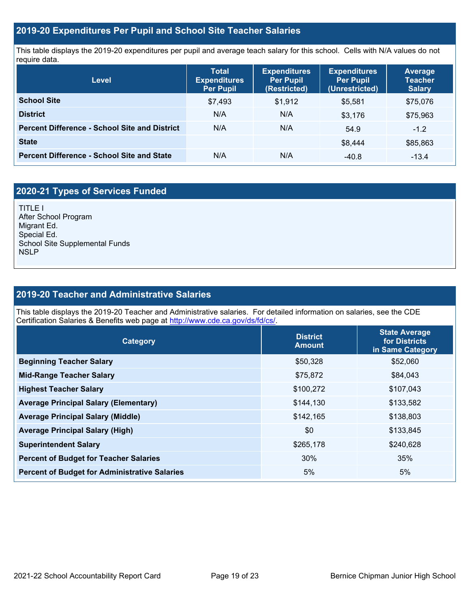## **2019-20 Expenditures Per Pupil and School Site Teacher Salaries**

This table displays the 2019-20 expenditures per pupil and average teach salary for this school. Cells with N/A values do not require data.

| Level                                                | <b>Expenditures</b><br><b>Total</b><br><b>Per Pupil</b><br><b>Expenditures</b><br>(Restricted)<br><b>Per Pupil</b> |         | <b>Expenditures</b><br><b>Per Pupil</b><br>(Unrestricted) | <b>Average</b><br><b>Teacher</b><br><b>Salary</b> |  |
|------------------------------------------------------|--------------------------------------------------------------------------------------------------------------------|---------|-----------------------------------------------------------|---------------------------------------------------|--|
| <b>School Site</b>                                   | \$7,493                                                                                                            | \$1,912 | \$5,581                                                   | \$75,076                                          |  |
| <b>District</b>                                      | N/A                                                                                                                | N/A     | \$3,176                                                   | \$75,963                                          |  |
| <b>Percent Difference - School Site and District</b> | N/A                                                                                                                | N/A     | 54.9                                                      | $-1.2$                                            |  |
| <b>State</b>                                         |                                                                                                                    |         | \$8,444                                                   | \$85,863                                          |  |
| <b>Percent Difference - School Site and State</b>    | N/A                                                                                                                | N/A     | $-40.8$                                                   | $-13.4$                                           |  |

## **2020-21 Types of Services Funded**

TITLE I After School Program Migrant Ed. Special Ed. School Site Supplemental Funds **NSLP** 

## **2019-20 Teacher and Administrative Salaries**

This table displays the 2019-20 Teacher and Administrative salaries. For detailed information on salaries, see the CDE Certification Salaries & Benefits web page at [http://www.cde.ca.gov/ds/fd/cs/.](http://www.cde.ca.gov/ds/fd/cs/)

| <b>Category</b>                                      | <b>District</b><br><b>Amount</b> | <b>State Average</b><br>for Districts<br>in Same Category |  |
|------------------------------------------------------|----------------------------------|-----------------------------------------------------------|--|
| <b>Beginning Teacher Salary</b>                      | \$50,328                         | \$52,060                                                  |  |
| <b>Mid-Range Teacher Salary</b>                      | \$75,872                         | \$84,043                                                  |  |
| <b>Highest Teacher Salary</b>                        | \$100,272                        | \$107,043                                                 |  |
| <b>Average Principal Salary (Elementary)</b>         | \$144,130                        | \$133,582                                                 |  |
| <b>Average Principal Salary (Middle)</b>             | \$142,165                        | \$138,803                                                 |  |
| <b>Average Principal Salary (High)</b>               | \$0                              | \$133,845                                                 |  |
| <b>Superintendent Salary</b>                         | \$265,178                        | \$240,628                                                 |  |
| <b>Percent of Budget for Teacher Salaries</b>        | 30%                              | 35%                                                       |  |
| <b>Percent of Budget for Administrative Salaries</b> | 5%                               | 5%                                                        |  |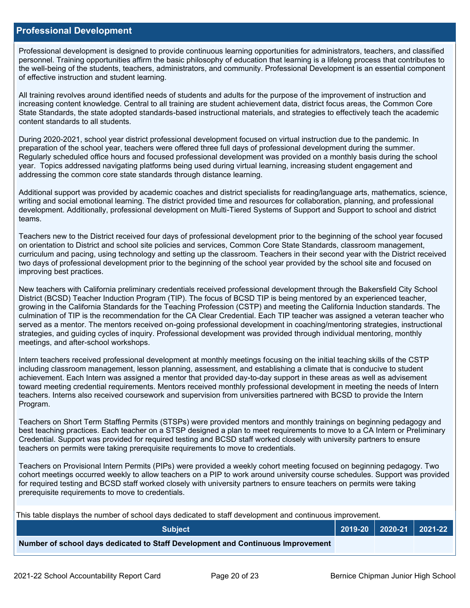### **Professional Development**

Professional development is designed to provide continuous learning opportunities for administrators, teachers, and classified personnel. Training opportunities affirm the basic philosophy of education that learning is a lifelong process that contributes to the well-being of the students, teachers, administrators, and community. Professional Development is an essential component of effective instruction and student learning.

All training revolves around identified needs of students and adults for the purpose of the improvement of instruction and increasing content knowledge. Central to all training are student achievement data, district focus areas, the Common Core State Standards, the state adopted standards-based instructional materials, and strategies to effectively teach the academic content standards to all students.

During 2020-2021, school year district professional development focused on virtual instruction due to the pandemic. In preparation of the school year, teachers were offered three full days of professional development during the summer. Regularly scheduled office hours and focused professional development was provided on a monthly basis during the school year. Topics addressed navigating platforms being used during virtual learning, increasing student engagement and addressing the common core state standards through distance learning.

Additional support was provided by academic coaches and district specialists for reading/language arts, mathematics, science, writing and social emotional learning. The district provided time and resources for collaboration, planning, and professional development. Additionally, professional development on Multi-Tiered Systems of Support and Support to school and district teams.

Teachers new to the District received four days of professional development prior to the beginning of the school year focused on orientation to District and school site policies and services, Common Core State Standards, classroom management, curriculum and pacing, using technology and setting up the classroom. Teachers in their second year with the District received two days of professional development prior to the beginning of the school year provided by the school site and focused on improving best practices.

New teachers with California preliminary credentials received professional development through the Bakersfield City School District (BCSD) Teacher Induction Program (TIP). The focus of BCSD TIP is being mentored by an experienced teacher, growing in the California Standards for the Teaching Profession (CSTP) and meeting the California Induction standards. The culmination of TIP is the recommendation for the CA Clear Credential. Each TIP teacher was assigned a veteran teacher who served as a mentor. The mentors received on-going professional development in coaching/mentoring strategies, instructional strategies, and guiding cycles of inquiry. Professional development was provided through individual mentoring, monthly meetings, and after-school workshops.

Intern teachers received professional development at monthly meetings focusing on the initial teaching skills of the CSTP including classroom management, lesson planning, assessment, and establishing a climate that is conducive to student achievement. Each Intern was assigned a mentor that provided day-to-day support in these areas as well as advisement toward meeting credential requirements. Mentors received monthly professional development in meeting the needs of Intern teachers. Interns also received coursework and supervision from universities partnered with BCSD to provide the Intern Program.

Teachers on Short Term Staffing Permits (STSPs) were provided mentors and monthly trainings on beginning pedagogy and best teaching practices. Each teacher on a STSP designed a plan to meet requirements to move to a CA Intern or Preliminary Credential. Support was provided for required testing and BCSD staff worked closely with university partners to ensure teachers on permits were taking prerequisite requirements to move to credentials.

Teachers on Provisional Intern Permits (PIPs) were provided a weekly cohort meeting focused on beginning pedagogy. Two cohort meetings occurred weekly to allow teachers on a PIP to work around university course schedules. Support was provided for required testing and BCSD staff worked closely with university partners to ensure teachers on permits were taking prerequisite requirements to move to credentials.

This table displays the number of school days dedicated to staff development and continuous improvement.

| <b>Subject</b>                                                                  |  | 2019-20   2020-21   2021-22 |
|---------------------------------------------------------------------------------|--|-----------------------------|
| Number of school days dedicated to Staff Development and Continuous Improvement |  |                             |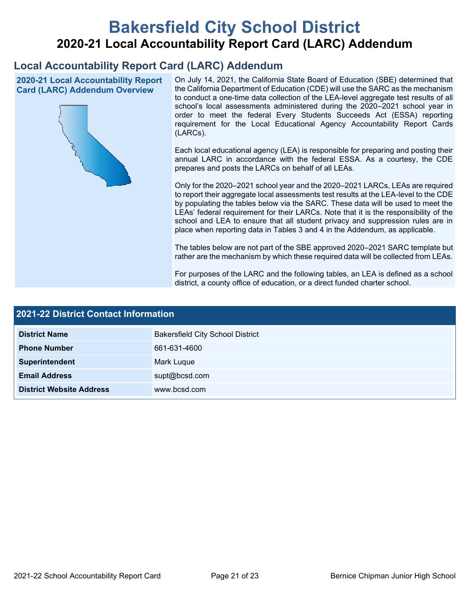# **Bakersfield City School District 2020-21 Local Accountability Report Card (LARC) Addendum**

## **Local Accountability Report Card (LARC) Addendum**

**2020-21 Local Accountability Report Card (LARC) Addendum Overview**



On July 14, 2021, the California State Board of Education (SBE) determined that the California Department of Education (CDE) will use the SARC as the mechanism to conduct a one-time data collection of the LEA-level aggregate test results of all school's local assessments administered during the 2020–2021 school year in order to meet the federal Every Students Succeeds Act (ESSA) reporting requirement for the Local Educational Agency Accountability Report Cards (LARCs).

Each local educational agency (LEA) is responsible for preparing and posting their annual LARC in accordance with the federal ESSA. As a courtesy, the CDE prepares and posts the LARCs on behalf of all LEAs.

Only for the 2020–2021 school year and the 2020–2021 LARCs, LEAs are required to report their aggregate local assessments test results at the LEA-level to the CDE by populating the tables below via the SARC. These data will be used to meet the LEAs' federal requirement for their LARCs. Note that it is the responsibility of the school and LEA to ensure that all student privacy and suppression rules are in place when reporting data in Tables 3 and 4 in the Addendum, as applicable.

The tables below are not part of the SBE approved 2020–2021 SARC template but rather are the mechanism by which these required data will be collected from LEAs.

For purposes of the LARC and the following tables, an LEA is defined as a school district, a county office of education, or a direct funded charter school.

| <b>2021-22 District Contact Information</b> |                                         |  |  |  |
|---------------------------------------------|-----------------------------------------|--|--|--|
| <b>District Name</b>                        | <b>Bakersfield City School District</b> |  |  |  |
| <b>Phone Number</b>                         | 661-631-4600                            |  |  |  |
| Superintendent                              | Mark Luque                              |  |  |  |
| <b>Email Address</b>                        | supt@bcsd.com                           |  |  |  |
| <b>District Website Address</b>             | www.bcsd.com                            |  |  |  |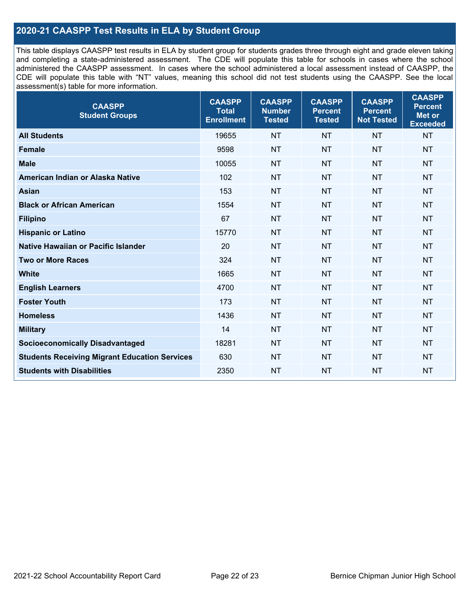## **2020-21 CAASPP Test Results in ELA by Student Group**

This table displays CAASPP test results in ELA by student group for students grades three through eight and grade eleven taking and completing a state-administered assessment. The CDE will populate this table for schools in cases where the school administered the CAASPP assessment. In cases where the school administered a local assessment instead of CAASPP, the CDE will populate this table with "NT" values, meaning this school did not test students using the CAASPP. See the local assessment(s) table for more information.

| <b>CAASPP</b><br><b>Student Groups</b>               | <b>CAASPP</b><br><b>Total</b><br><b>Enrollment</b> | <b>CAASPP</b><br><b>Number</b><br><b>Tested</b> | <b>CAASPP</b><br><b>Percent</b><br><b>Tested</b> | <b>CAASPP</b><br><b>Percent</b><br><b>Not Tested</b> | <b>CAASPP</b><br><b>Percent</b><br>Met or<br><b>Exceeded</b> |
|------------------------------------------------------|----------------------------------------------------|-------------------------------------------------|--------------------------------------------------|------------------------------------------------------|--------------------------------------------------------------|
| <b>All Students</b>                                  | 19655                                              | <b>NT</b>                                       | <b>NT</b>                                        | <b>NT</b>                                            | <b>NT</b>                                                    |
| <b>Female</b>                                        | 9598                                               | <b>NT</b>                                       | <b>NT</b>                                        | <b>NT</b>                                            | <b>NT</b>                                                    |
| <b>Male</b>                                          | 10055                                              | <b>NT</b>                                       | <b>NT</b>                                        | <b>NT</b>                                            | <b>NT</b>                                                    |
| American Indian or Alaska Native                     | 102                                                | <b>NT</b>                                       | <b>NT</b>                                        | <b>NT</b>                                            | <b>NT</b>                                                    |
| <b>Asian</b>                                         | 153                                                | <b>NT</b>                                       | <b>NT</b>                                        | <b>NT</b>                                            | <b>NT</b>                                                    |
| <b>Black or African American</b>                     | 1554                                               | <b>NT</b>                                       | <b>NT</b>                                        | <b>NT</b>                                            | <b>NT</b>                                                    |
| <b>Filipino</b>                                      | 67                                                 | <b>NT</b>                                       | <b>NT</b>                                        | <b>NT</b>                                            | <b>NT</b>                                                    |
| <b>Hispanic or Latino</b>                            | 15770                                              | <b>NT</b>                                       | <b>NT</b>                                        | <b>NT</b>                                            | <b>NT</b>                                                    |
| Native Hawaiian or Pacific Islander                  | 20                                                 | <b>NT</b>                                       | <b>NT</b>                                        | <b>NT</b>                                            | <b>NT</b>                                                    |
| <b>Two or More Races</b>                             | 324                                                | <b>NT</b>                                       | <b>NT</b>                                        | <b>NT</b>                                            | <b>NT</b>                                                    |
| <b>White</b>                                         | 1665                                               | <b>NT</b>                                       | <b>NT</b>                                        | <b>NT</b>                                            | <b>NT</b>                                                    |
| <b>English Learners</b>                              | 4700                                               | <b>NT</b>                                       | <b>NT</b>                                        | <b>NT</b>                                            | <b>NT</b>                                                    |
| <b>Foster Youth</b>                                  | 173                                                | <b>NT</b>                                       | <b>NT</b>                                        | <b>NT</b>                                            | <b>NT</b>                                                    |
| <b>Homeless</b>                                      | 1436                                               | <b>NT</b>                                       | <b>NT</b>                                        | <b>NT</b>                                            | <b>NT</b>                                                    |
| <b>Military</b>                                      | 14                                                 | <b>NT</b>                                       | <b>NT</b>                                        | <b>NT</b>                                            | <b>NT</b>                                                    |
| <b>Socioeconomically Disadvantaged</b>               | 18281                                              | <b>NT</b>                                       | <b>NT</b>                                        | <b>NT</b>                                            | <b>NT</b>                                                    |
| <b>Students Receiving Migrant Education Services</b> | 630                                                | <b>NT</b>                                       | <b>NT</b>                                        | <b>NT</b>                                            | NT                                                           |
| <b>Students with Disabilities</b>                    | 2350                                               | <b>NT</b>                                       | <b>NT</b>                                        | <b>NT</b>                                            | <b>NT</b>                                                    |